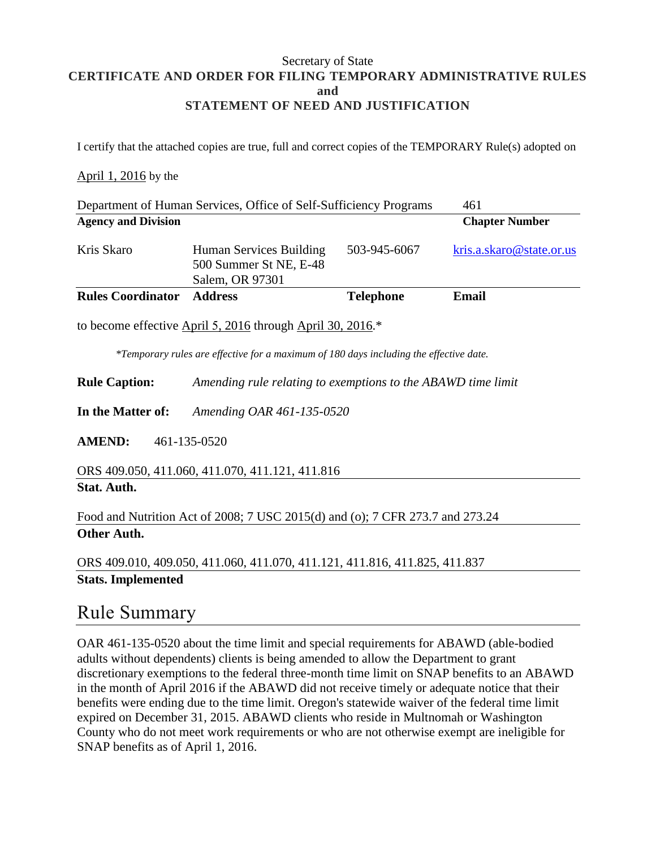#### Secretary of State **CERTIFICATE AND ORDER FOR FILING TEMPORARY ADMINISTRATIVE RULES and STATEMENT OF NEED AND JUSTIFICATION**

I certify that the attached copies are true, full and correct copies of the TEMPORARY Rule(s) adopted on

### April 1, 2016 by the

| Department of Human Services, Office of Self-Sufficiency Programs |                                                                      | 461              |                          |
|-------------------------------------------------------------------|----------------------------------------------------------------------|------------------|--------------------------|
| <b>Agency and Division</b>                                        |                                                                      |                  | <b>Chapter Number</b>    |
| Kris Skaro                                                        | Human Services Building<br>500 Summer St NE, E-48<br>Salem, OR 97301 | 503-945-6067     | kris.a.skaro@state.or.us |
| <b>Rules Coordinator</b>                                          | <b>Address</b>                                                       | <b>Telephone</b> | Email                    |
| to become effective April 5, 2016 through April 30, 2016.*        |                                                                      |                  |                          |

*\*Temporary rules are effective for a maximum of 180 days including the effective date.*

**Rule Caption:** *Amending rule relating to exemptions to the ABAWD time limit*

**In the Matter of:** *Amending OAR 461-135-0520*

**AMEND:** 461-135-0520

ORS 409.050, 411.060, 411.070, 411.121, 411.816 **Stat. Auth.** 

Food and Nutrition Act of 2008; 7 USC 2015(d) and (o); 7 CFR 273.7 and 273.24 **Other Auth.** 

ORS 409.010, 409.050, 411.060, 411.070, 411.121, 411.816, 411.825, 411.837 **Stats. Implemented** 

### Rule Summary

OAR 461-135-0520 about the time limit and special requirements for ABAWD (able-bodied adults without dependents) clients is being amended to allow the Department to grant discretionary exemptions to the federal three-month time limit on SNAP benefits to an ABAWD in the month of April 2016 if the ABAWD did not receive timely or adequate notice that their benefits were ending due to the time limit. Oregon's statewide waiver of the federal time limit expired on December 31, 2015. ABAWD clients who reside in Multnomah or Washington County who do not meet work requirements or who are not otherwise exempt are ineligible for SNAP benefits as of April 1, 2016.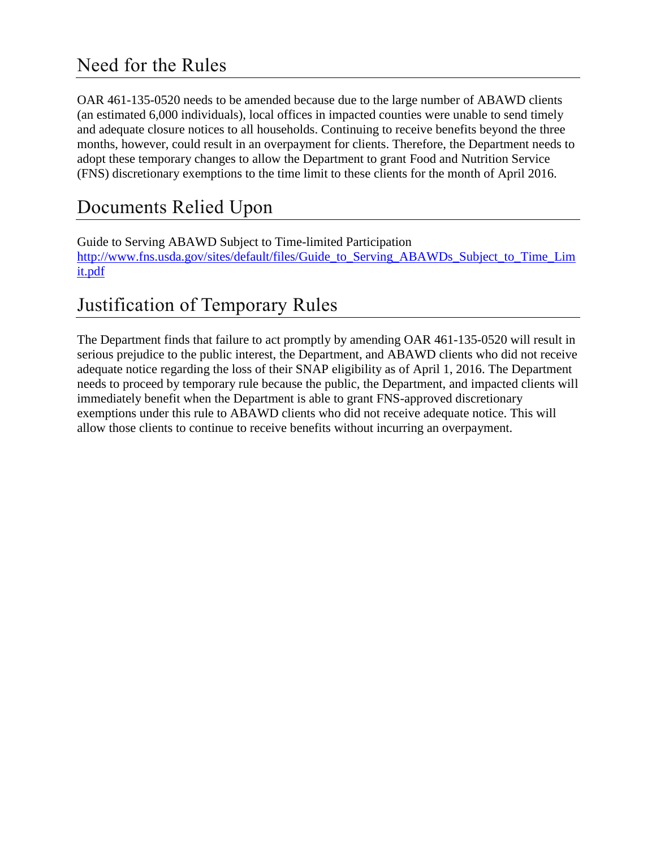## Need for the Rules

OAR 461-135-0520 needs to be amended because due to the large number of ABAWD clients (an estimated 6,000 individuals), local offices in impacted counties were unable to send timely and adequate closure notices to all households. Continuing to receive benefits beyond the three months, however, could result in an overpayment for clients. Therefore, the Department needs to adopt these temporary changes to allow the Department to grant Food and Nutrition Service (FNS) discretionary exemptions to the time limit to these clients for the month of April 2016.

# Documents Relied Upon

Guide to Serving ABAWD Subject to Time-limited Participation [http://www.fns.usda.gov/sites/default/files/Guide\\_to\\_Serving\\_ABAWDs\\_Subject\\_to\\_Time\\_Lim](http://www.fns.usda.gov/sites/default/files/Guide_to_Serving_ABAWDs_Subject_to_Time_Limit.pdf) [it.pdf](http://www.fns.usda.gov/sites/default/files/Guide_to_Serving_ABAWDs_Subject_to_Time_Limit.pdf)

# Justification of Temporary Rules

The Department finds that failure to act promptly by amending OAR 461-135-0520 will result in serious prejudice to the public interest, the Department, and ABAWD clients who did not receive adequate notice regarding the loss of their SNAP eligibility as of April 1, 2016. The Department needs to proceed by temporary rule because the public, the Department, and impacted clients will immediately benefit when the Department is able to grant FNS-approved discretionary exemptions under this rule to ABAWD clients who did not receive adequate notice. This will allow those clients to continue to receive benefits without incurring an overpayment.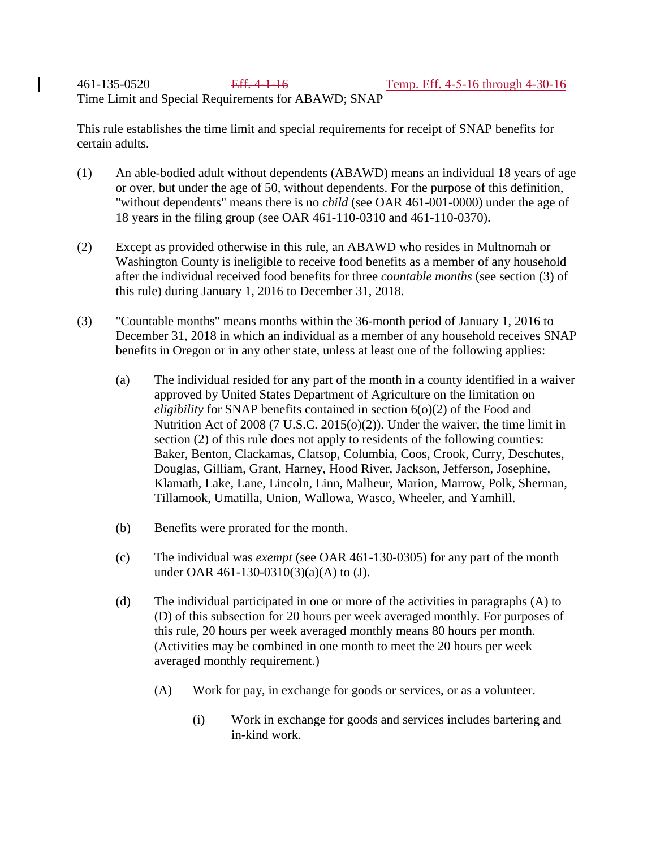461-135-0520 Eff. 4-1-16 Temp. Eff. 4-5-16 through 4-30-16 Time Limit and Special Requirements for ABAWD; SNAP

This rule establishes the time limit and special requirements for receipt of SNAP benefits for certain adults.

- (1) An able-bodied adult without dependents (ABAWD) means an individual 18 years of age or over, but under the age of 50, without dependents. For the purpose of this definition, "without dependents" means there is no *child* (see OAR 461-001-0000) under the age of 18 years in the filing group (see OAR 461-110-0310 and 461-110-0370).
- (2) Except as provided otherwise in this rule, an ABAWD who resides in Multnomah or Washington County is ineligible to receive food benefits as a member of any household after the individual received food benefits for three *countable months* (see section (3) of this rule) during January 1, 2016 to December 31, 2018.
- (3) "Countable months" means months within the 36-month period of January 1, 2016 to December 31, 2018 in which an individual as a member of any household receives SNAP benefits in Oregon or in any other state, unless at least one of the following applies:
	- (a) The individual resided for any part of the month in a county identified in a waiver approved by United States Department of Agriculture on the limitation on *eligibility* for SNAP benefits contained in section 6(o)(2) of the Food and Nutrition Act of 2008 (7 U.S.C. 2015(o)(2)). Under the waiver, the time limit in section (2) of this rule does not apply to residents of the following counties: Baker, Benton, Clackamas, Clatsop, Columbia, Coos, Crook, Curry, Deschutes, Douglas, Gilliam, Grant, Harney, Hood River, Jackson, Jefferson, Josephine, Klamath, Lake, Lane, Lincoln, Linn, Malheur, Marion, Marrow, Polk, Sherman, Tillamook, Umatilla, Union, Wallowa, Wasco, Wheeler, and Yamhill.
	- (b) Benefits were prorated for the month.
	- (c) The individual was *exempt* (see OAR 461-130-0305) for any part of the month under OAR 461-130-0310(3)(a)(A) to (J).
	- (d) The individual participated in one or more of the activities in paragraphs (A) to (D) of this subsection for 20 hours per week averaged monthly. For purposes of this rule, 20 hours per week averaged monthly means 80 hours per month. (Activities may be combined in one month to meet the 20 hours per week averaged monthly requirement.)
		- (A) Work for pay, in exchange for goods or services, or as a volunteer.
			- (i) Work in exchange for goods and services includes bartering and in-kind work.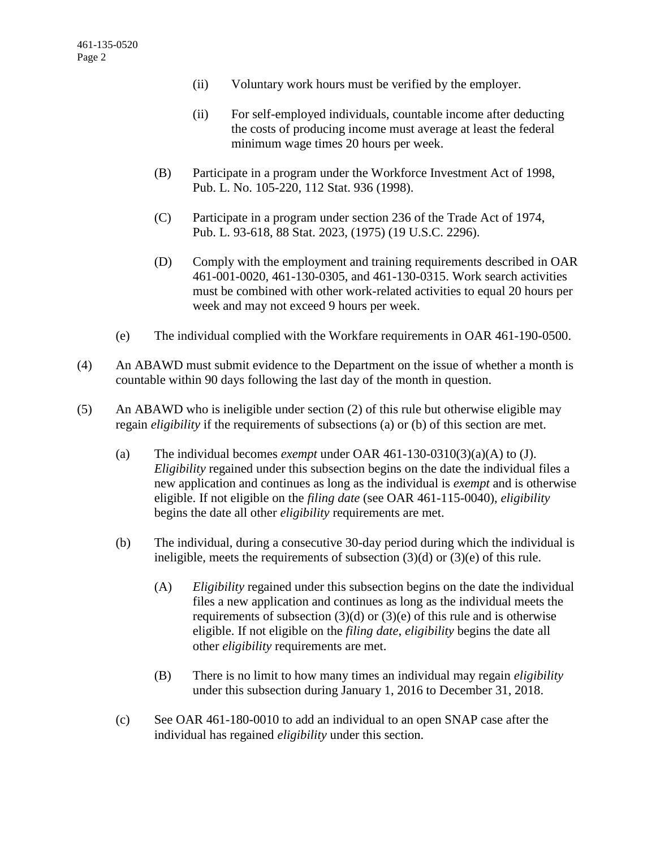- (ii) Voluntary work hours must be verified by the employer.
- (ii) For self-employed individuals, countable income after deducting the costs of producing income must average at least the federal minimum wage times 20 hours per week.
- (B) Participate in a program under the Workforce Investment Act of 1998, Pub. L. No. 105-220, 112 Stat. 936 (1998).
- (C) Participate in a program under section 236 of the Trade Act of 1974, Pub. L. 93-618, 88 Stat. 2023, (1975) (19 U.S.C. 2296).
- (D) Comply with the employment and training requirements described in OAR 461-001-0020, 461-130-0305, and 461-130-0315. Work search activities must be combined with other work-related activities to equal 20 hours per week and may not exceed 9 hours per week.
- (e) The individual complied with the Workfare requirements in OAR 461-190-0500.
- (4) An ABAWD must submit evidence to the Department on the issue of whether a month is countable within 90 days following the last day of the month in question.
- (5) An ABAWD who is ineligible under section (2) of this rule but otherwise eligible may regain *eligibility* if the requirements of subsections (a) or (b) of this section are met.
	- (a) The individual becomes *exempt* under OAR 461-130-0310(3)(a)(A) to (J). *Eligibility* regained under this subsection begins on the date the individual files a new application and continues as long as the individual is *exempt* and is otherwise eligible. If not eligible on the *filing date* (see OAR 461-115-0040), *eligibility* begins the date all other *eligibility* requirements are met.
	- (b) The individual, during a consecutive 30-day period during which the individual is ineligible, meets the requirements of subsection (3)(d) or (3)(e) of this rule.
		- (A) *Eligibility* regained under this subsection begins on the date the individual files a new application and continues as long as the individual meets the requirements of subsection  $(3)(d)$  or  $(3)(e)$  of this rule and is otherwise eligible. If not eligible on the *filing date*, *eligibility* begins the date all other *eligibility* requirements are met.
		- (B) There is no limit to how many times an individual may regain *eligibility* under this subsection during January 1, 2016 to December 31, 2018.
	- (c) See OAR 461-180-0010 to add an individual to an open SNAP case after the individual has regained *eligibility* under this section.